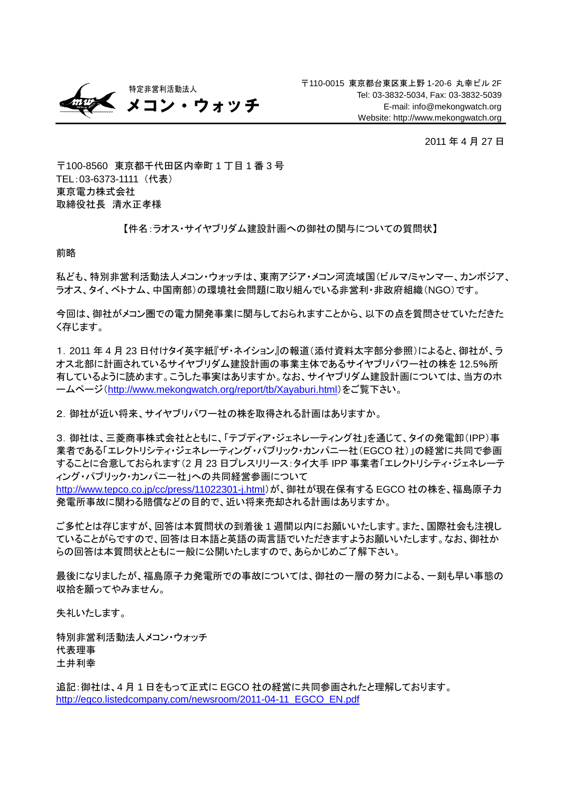

2011 年 4 月 27 日

〒100-8560 東京都千代田区内幸町 1 丁目 1 番 3 号 TEL:03-6373-1111 (代表) 東京電力株式会社 取締役社長 清水正孝様

## 【件名:ラオス・サイヤブリダム建設計画への御社の関与についての質問状】

前略

私ども、特別非営利活動法人メコン・ウォッチは、東南アジア・メコン河流域国(ビルマ/ミャンマー、カンボジア、 ラオス、タイ、ベトナム、中国南部)の環境社会問題に取り組んでいる非営利・非政府組織(NGO)です。

今回は、御社がメコン圏での電力開発事業に関与しておられますことから、以下の点を質問させていただきた く存じます。

1.2011 年 4 月 23 日付けタイ英字紙『ザ・ネイション』の報道(添付資料太字部分参照)によると、御社が、ラ オス北部に計画されているサイヤブリダム建設計画の事業主体であるサイヤブリパワー社の株を 12.5%所 有しているように読めます。こうした事実はありますか。なお、サイヤブリダム建設計画については、当方のホ ームページ(<http://www.mekongwatch.org/report/tb/Xayaburi.html>)をご覧下さい。

2.御社が近い将来、サイヤブリパワー社の株を取得される計画はありますか。

3. 御社は、三菱商事株式会社とともに、「テプディア・ジェネレーティング社」を通じて、タイの発電卸(IPP)事 業者である「エレクトリシティ・ジェネレーティング・パブリック・カンパニー社(EGCO 社)」の経営に共同で参画 することに合意しておられます(2 月 23 日プレスリリース:タイ大手 IPP 事業者「エレクトリシティ・ジェネレーテ ィング・パブリック・カンパニー社」への共同経営参画について

<http://www.tepco.co.jp/cc/press/11022301-j.html>)が、御社が現在保有する EGCO 社の株を、福島原子力 発電所事故に関わる賠償などの目的で、近い将来売却される計画はありますか。

ご多忙とは存じますが、回答は本質問状の到着後 1 週間以内にお願いいたします。また、国際社会も注視し ていることがらですので、回答は日本語と英語の両言語でいただきますようお願いいたします。なお、御社か らの回答は本質問状とともに一般に公開いたしますので、あらかじめご了解下さい。

最後になりましたが、福島原子力発電所での事故については、御社の一層の努力による、一刻も早い事態の 収拾を願ってやみません。

失礼いたします。

特別非営利活動法人メコン・ウォッチ 代表理事 土井利幸

追記:御社は、4 月 1 日をもって正式に EGCO 社の経営に共同参画されたと理解しております。 [http://egco.listedcompany.com/newsroom/2011-04-11\\_EGCO\\_EN.pdf](http://egco.listedcompany.com/newsroom/2011-04-11_EGCO_EN.pdf)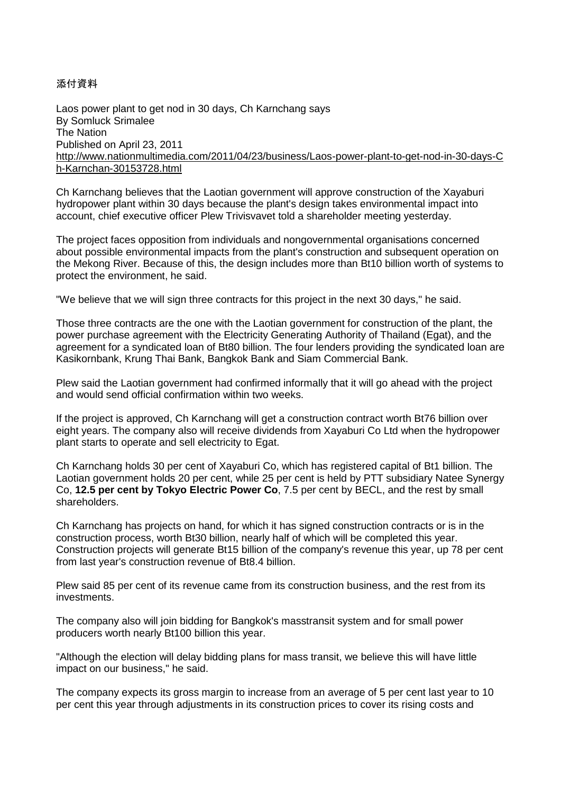添付資料

Laos power plant to get nod in 30 days, Ch Karnchang says By Somluck Srimalee The Nation Published on April 23, 2011 [http://www.nationmultimedia.com/2011/04/23/business/Laos-power-plant-to-get-nod-in-30-days-C](http://www.nationmultimedia.com/2011/04/23/business/Laos-power-plant-to-get-nod-in-30-days-Ch-Karnchan-30153728.html) [h-Karnchan-30153728.html](http://www.nationmultimedia.com/2011/04/23/business/Laos-power-plant-to-get-nod-in-30-days-Ch-Karnchan-30153728.html)

Ch Karnchang believes that the Laotian government will approve construction of the Xayaburi hydropower plant within 30 days because the plant's design takes environmental impact into account, chief executive officer Plew Trivisvavet told a shareholder meeting yesterday.

The project faces opposition from individuals and nongovernmental organisations concerned about possible environmental impacts from the plant's construction and subsequent operation on the Mekong River. Because of this, the design includes more than Bt10 billion worth of systems to protect the environment, he said.

"We believe that we will sign three contracts for this project in the next 30 days," he said.

Those three contracts are the one with the Laotian government for construction of the plant, the power purchase agreement with the Electricity Generating Authority of Thailand (Egat), and the agreement for a syndicated loan of Bt80 billion. The four lenders providing the syndicated loan are Kasikornbank, Krung Thai Bank, Bangkok Bank and Siam Commercial Bank.

Plew said the Laotian government had confirmed informally that it will go ahead with the project and would send official confirmation within two weeks.

If the project is approved, Ch Karnchang will get a construction contract worth Bt76 billion over eight years. The company also will receive dividends from Xayaburi Co Ltd when the hydropower plant starts to operate and sell electricity to Egat.

Ch Karnchang holds 30 per cent of Xayaburi Co, which has registered capital of Bt1 billion. The Laotian government holds 20 per cent, while 25 per cent is held by PTT subsidiary Natee Synergy Co, **12.5 per cent by Tokyo Electric Power Co**, 7.5 per cent by BECL, and the rest by small shareholders.

Ch Karnchang has projects on hand, for which it has signed construction contracts or is in the construction process, worth Bt30 billion, nearly half of which will be completed this year. Construction projects will generate Bt15 billion of the company's revenue this year, up 78 per cent from last year's construction revenue of Bt8.4 billion.

Plew said 85 per cent of its revenue came from its construction business, and the rest from its investments.

The company also will join bidding for Bangkok's masstransit system and for small power producers worth nearly Bt100 billion this year.

"Although the election will delay bidding plans for mass transit, we believe this will have little impact on our business," he said.

The company expects its gross margin to increase from an average of 5 per cent last year to 10 per cent this year through adjustments in its construction prices to cover its rising costs and